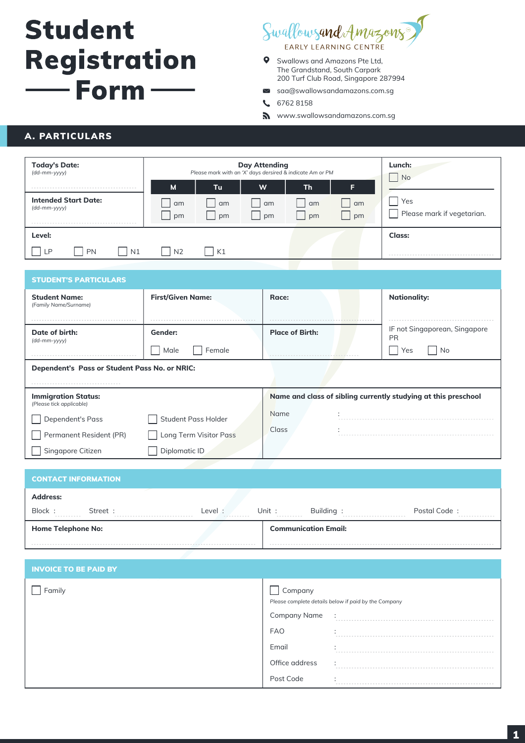# **Student** Registration  $-$  Form

# Swallowsand Amazons

- $\bullet$ Swallows and Amazons Pte Ltd, The Grandstand, South Carpark 200 Turf Club Road, Singapore 287994
- saa@swallowsandamazons.com.sg  $\smallsmile$
- 6762 8158  $\mathbf{C}$
- **S** www.swallowsandamazons.com.sg

# A. PARTICULARS

| <b>Today's Date:</b><br>(dd-mm-yyyy)        | <b>Day Attending</b><br>Please mark with an 'X' days dersired & indicate Am or PM |           |          | Lunch:<br><b>No</b> |          |                                   |
|---------------------------------------------|-----------------------------------------------------------------------------------|-----------|----------|---------------------|----------|-----------------------------------|
|                                             | M                                                                                 | <b>Tu</b> | W        | <b>Th</b>           | F.       |                                   |
| <b>Intended Start Date:</b><br>(dd-mm-yyyy) | am<br>pm                                                                          | am<br>pm  | am<br>pm | am<br>pm            | am<br>pm | Yes<br>Please mark if vegetarian. |
| Level:                                      |                                                                                   |           |          |                     |          | <b>Class:</b>                     |
| $\overline{N1}$<br>PN<br>, LP               | N <sub>2</sub>                                                                    | K1        |          |                     |          |                                   |

| <b>STUDENT'S PARTICULARS</b>                                                                                             |     |  |  |
|--------------------------------------------------------------------------------------------------------------------------|-----|--|--|
| <b>First/Given Name:</b><br><b>Nationality:</b><br><b>Student Name:</b><br>Race:<br>(Family Name/Surname)                |     |  |  |
| IF not Singaporean, Singapore<br><b>Place of Birth:</b><br>Date of birth:<br>Gender:<br><b>PR</b><br>(dd-mm-yyyy)        |     |  |  |
| Male<br>Female<br>Yes                                                                                                    | No. |  |  |
| Dependent's Pass or Student Pass No. or NRIC:                                                                            |     |  |  |
|                                                                                                                          |     |  |  |
| Name and class of sibling currently studying at this preschool<br><b>Immigration Status:</b><br>(Please tick applicable) |     |  |  |
| Name<br><b>Student Pass Holder</b><br><b>Dependent's Pass</b>                                                            |     |  |  |
| <b>Class</b><br>Long Term Visitor Pass<br>Permanent Resident (PR)                                                        |     |  |  |
| Diplomatic ID<br>Singapore Citizen                                                                                       |     |  |  |

| <b>Home Telephone No:</b>      |                       |                       | <b>Communication Email:</b> |              |
|--------------------------------|-----------------------|-----------------------|-----------------------------|--------------|
| Block:<br>Street :<br>.<br>--- | Level:<br>----------- | Unit :<br>----------- | Building:                   | Postal Code: |
| <b>Address:</b>                |                       |                       |                             |              |
| <b>CONTACT INFORMATION</b>     |                       |                       |                             |              |
|                                |                       |                       |                             |              |

| <b>INVOICE TO BE PAID BY</b> |                                |                                                      |
|------------------------------|--------------------------------|------------------------------------------------------|
| Family                       | Company<br><b>Company Name</b> | Please complete details below if paid by the Company |
|                              | <b>FAO</b>                     |                                                      |
|                              | Email                          |                                                      |
|                              | Office address                 | $\cdot$<br>.                                         |
|                              | Post Code                      |                                                      |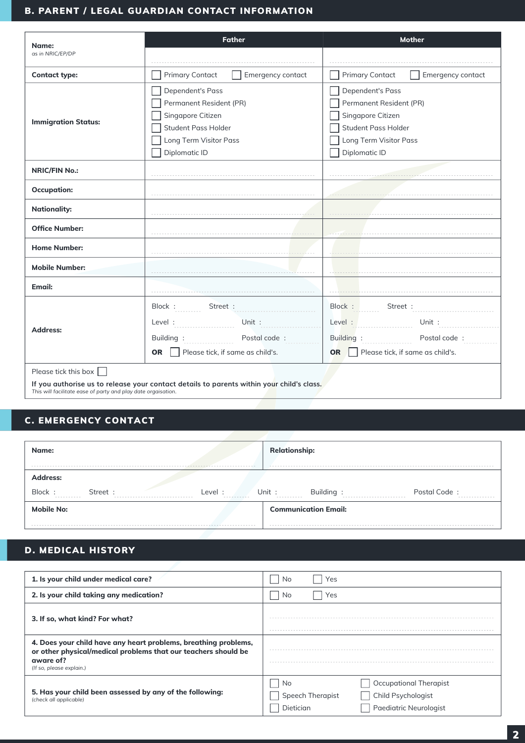### B. PARENT / LEGAL GUARDIAN CONTACT INFORMATION

| Name:                                                         | <b>Father</b>                                                                             | <b>Mother</b>                               |  |
|---------------------------------------------------------------|-------------------------------------------------------------------------------------------|---------------------------------------------|--|
| as in NRIC/EP/DP                                              |                                                                                           |                                             |  |
| <b>Contact type:</b>                                          | <b>Primary Contact</b><br>Emergency contact                                               | <b>Primary Contact</b><br>Emergency contact |  |
|                                                               | Dependent's Pass                                                                          | Dependent's Pass                            |  |
|                                                               | Permanent Resident (PR)                                                                   | Permanent Resident (PR)                     |  |
| <b>Immigration Status:</b>                                    | Singapore Citizen                                                                         | Singapore Citizen                           |  |
|                                                               | Student Pass Holder                                                                       | Student Pass Holder                         |  |
|                                                               | Long Term Visitor Pass                                                                    | Long Term Visitor Pass                      |  |
|                                                               | Diplomatic ID                                                                             | Diplomatic ID                               |  |
| <b>NRIC/FIN No.:</b>                                          |                                                                                           |                                             |  |
| <b>Occupation:</b>                                            |                                                                                           |                                             |  |
| <b>Nationality:</b>                                           |                                                                                           |                                             |  |
| <b>Office Number:</b>                                         |                                                                                           |                                             |  |
| <b>Home Number:</b>                                           |                                                                                           |                                             |  |
| <b>Mobile Number:</b>                                         |                                                                                           |                                             |  |
| Email:                                                        |                                                                                           |                                             |  |
|                                                               | Block:<br>Street :                                                                        | Block:<br>Street :                          |  |
| Address:                                                      | Unit:<br>Level:                                                                           | Level:<br>Unit:                             |  |
|                                                               | Building:<br>Postal code:                                                                 | Building:<br>Postal code:                   |  |
|                                                               | Please tick, if same as child's.<br><b>OR</b><br>$\mathbf{1}$                             | Please tick, if same as child's.<br>OR I    |  |
| Please tick this box $\Box$                                   |                                                                                           |                                             |  |
| This will facilitate ease of party and play date orgaisation. | If you authorise us to release your contact details to parents within your child's class. |                                             |  |

# C. EMERGENCY CONTACT

| Name:                                                              | <b>Relationship:</b>                                    |
|--------------------------------------------------------------------|---------------------------------------------------------|
| <b>Address:</b><br>Block:<br>Street:<br>Level :<br>.<br>---------- | Postal Code:<br>Unit :<br>Building:<br>-----------<br>. |
| <b>Mobile No:</b>                                                  | <b>Communication Email:</b>                             |

# D. MEDICAL HISTORY

| 1. Is your child under medical care?                                                                                                                                       | Yes<br>No                                                                                                     |
|----------------------------------------------------------------------------------------------------------------------------------------------------------------------------|---------------------------------------------------------------------------------------------------------------|
| 2. Is your child taking any medication?                                                                                                                                    | Yes<br>No                                                                                                     |
| 3. If so, what kind? For what?                                                                                                                                             |                                                                                                               |
| 4. Does your child have any heart problems, breathing problems,<br>or other physical/medical problems that our teachers should be<br>aware of?<br>(If so, please explain.) |                                                                                                               |
| 5. Has your child been assessed by any of the following:<br>(check all applicable)                                                                                         | Occupational Therapist<br>No<br>Speech Therapist<br>Child Psychologist<br>Paediatric Neurologist<br>Dietician |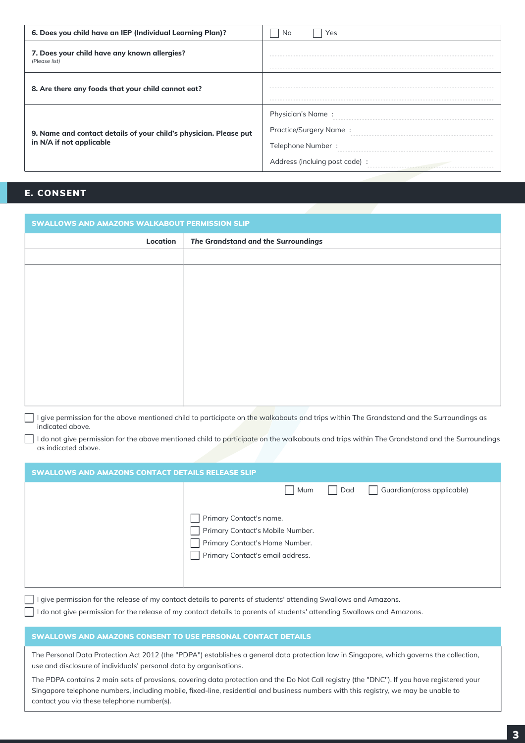| 6. Does you child have an IEP (Individual Learning Plan)?                                     | No<br>Yes                                                                                          |
|-----------------------------------------------------------------------------------------------|----------------------------------------------------------------------------------------------------|
| 7. Does your child have any known allergies?<br>(Please list)                                 |                                                                                                    |
| 8. Are there any foods that your child cannot eat?                                            |                                                                                                    |
| 9. Name and contact details of your child's physician. Please put<br>in N/A if not applicable | Physician's Name:<br>Practice/Surgery Name:<br>Telephone Number:<br>Address (incluing post code) : |

# E. CONSENT

| <b>SWALLOWS AND AMAZONS WALKABOUT PERMISSION SLIP</b>                                                                                                                                                                                   |                                                                                                                                              |  |
|-----------------------------------------------------------------------------------------------------------------------------------------------------------------------------------------------------------------------------------------|----------------------------------------------------------------------------------------------------------------------------------------------|--|
| Location                                                                                                                                                                                                                                | The Grandstand and the Surroundings                                                                                                          |  |
|                                                                                                                                                                                                                                         |                                                                                                                                              |  |
|                                                                                                                                                                                                                                         |                                                                                                                                              |  |
|                                                                                                                                                                                                                                         |                                                                                                                                              |  |
|                                                                                                                                                                                                                                         |                                                                                                                                              |  |
|                                                                                                                                                                                                                                         |                                                                                                                                              |  |
|                                                                                                                                                                                                                                         |                                                                                                                                              |  |
|                                                                                                                                                                                                                                         |                                                                                                                                              |  |
|                                                                                                                                                                                                                                         |                                                                                                                                              |  |
|                                                                                                                                                                                                                                         |                                                                                                                                              |  |
|                                                                                                                                                                                                                                         |                                                                                                                                              |  |
| indicated above.                                                                                                                                                                                                                        | I give permission for the above mentioned child to participate on the walkabouts and trips within The Grandstand and the Surroundings as     |  |
|                                                                                                                                                                                                                                         | I do not give permission for the above mentioned child to participate on the walkabouts and trips within The Grandstand and the Surroundings |  |
| as indicated above.                                                                                                                                                                                                                     |                                                                                                                                              |  |
| <b>SWALLOWS AND AMAZONS CONTACT DETAILS RELEASE SLIP</b>                                                                                                                                                                                |                                                                                                                                              |  |
|                                                                                                                                                                                                                                         | Mum<br>Dad<br>Guardian (cross applicable)                                                                                                    |  |
|                                                                                                                                                                                                                                         |                                                                                                                                              |  |
|                                                                                                                                                                                                                                         | Primary Contact's name.<br>Primary Contact's Mobile Number.                                                                                  |  |
|                                                                                                                                                                                                                                         | Primary Contact's Home Number.                                                                                                               |  |
|                                                                                                                                                                                                                                         | Primary Contact's email address.                                                                                                             |  |
|                                                                                                                                                                                                                                         |                                                                                                                                              |  |
|                                                                                                                                                                                                                                         |                                                                                                                                              |  |
| give permission for the release of my contact details to parents of students' attending Swallows and Amazons.<br>I do not give permission for the release of my contact details to parents of students' attending Swallows and Amazons. |                                                                                                                                              |  |
|                                                                                                                                                                                                                                         |                                                                                                                                              |  |
| SWALLOWS AND AMAZONS CONSENT TO USE PERSONAL CONTACT DETAILS                                                                                                                                                                            |                                                                                                                                              |  |
| The Personal Data Protection Act 2012 (the "PDPA") establishes a general data protection law in Singapore, which governs the collection,<br>use and disclosure of individuals' personal data by organisations.                          |                                                                                                                                              |  |

The PDPA contains 2 main sets of provsions, covering data protection and the Do Not Call registry (the "DNC"). If you have registered your Singapore telephone numbers, including mobile, fixed-line, residential and business numbers with this registry, we may be unable to contact you via these telephone number(s).